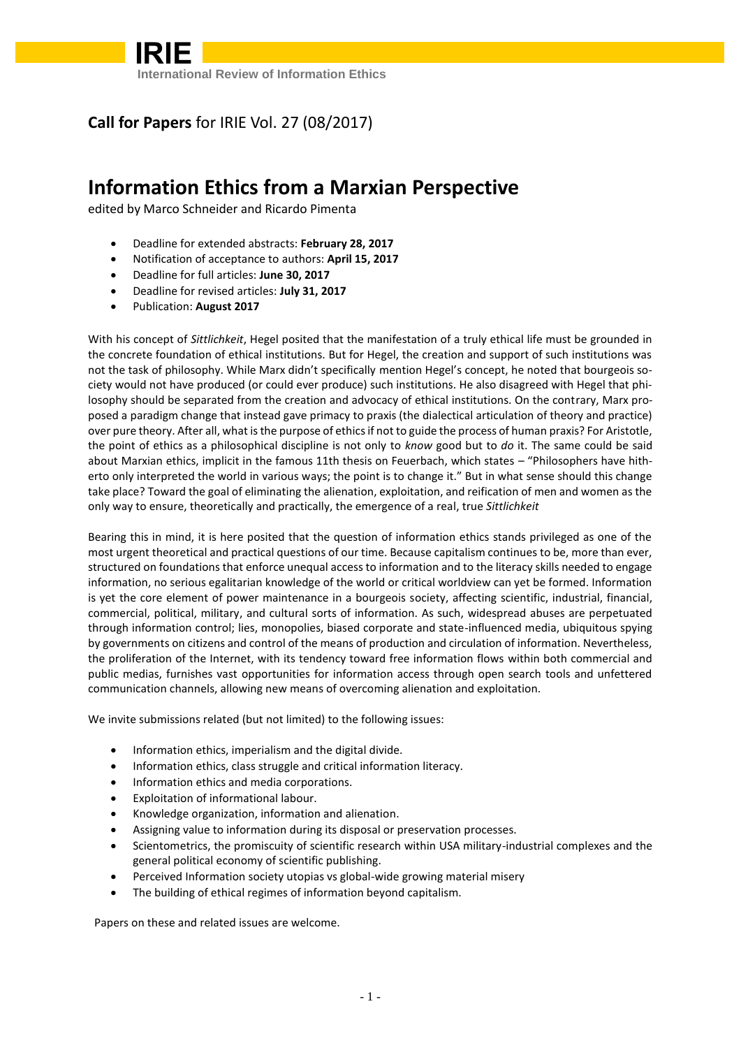

### **Call for Papers** for IRIE Vol. 27 (08/2017)

# **Information Ethics from a Marxian Perspective**

edited by Marco Schneider and Ricardo Pimenta

- Deadline for extended abstracts: **February 28, 2017**
- Notification of acceptance to authors: **April 15, 2017**
- Deadline for full articles: **June 30, 2017**
- Deadline for revised articles: **July 31, 2017**
- Publication: **August 2017**

With his concept of *Sittlichkeit*, Hegel posited that the manifestation of a truly ethical life must be grounded in the concrete foundation of ethical institutions. But for Hegel, the creation and support of such institutions was not the task of philosophy. While Marx didn't specifically mention Hegel's concept, he noted that bourgeois society would not have produced (or could ever produce) such institutions. He also disagreed with Hegel that philosophy should be separated from the creation and advocacy of ethical institutions. On the contrary, Marx proposed a paradigm change that instead gave primacy to praxis (the dialectical articulation of theory and practice) over pure theory. After all, what is the purpose of ethics if not to guide the process of human praxis? For Aristotle, the point of ethics as a philosophical discipline is not only to *know* good but to *do* it. The same could be said about Marxian ethics, implicit in the famous 11th thesis on Feuerbach, which states – "Philosophers have hitherto only interpreted the world in various ways; the point is to change it." But in what sense should this change take place? Toward the goal of eliminating the alienation, exploitation, and reification of men and women as the only way to ensure, theoretically and practically, the emergence of a real, true *Sittlichkeit*

Bearing this in mind, it is here posited that the question of information ethics stands privileged as one of the most urgent theoretical and practical questions of our time. Because capitalism continues to be, more than ever, structured on foundations that enforce unequal access to information and to the literacy skills needed to engage information, no serious egalitarian knowledge of the world or critical worldview can yet be formed. Information is yet the core element of power maintenance in a bourgeois society, affecting scientific, industrial, financial, commercial, political, military, and cultural sorts of information. As such, widespread abuses are perpetuated through information control; lies, monopolies, biased corporate and state-influenced media, ubiquitous spying by governments on citizens and control of the means of production and circulation of information. Nevertheless, the proliferation of the Internet, with its tendency toward free information flows within both commercial and public medias, furnishes vast opportunities for information access through open search tools and unfettered communication channels, allowing new means of overcoming alienation and exploitation.

We invite submissions related (but not limited) to the following issues:

- Information ethics, imperialism and the digital divide.
- Information ethics, class struggle and critical information literacy.
- Information ethics and media corporations.
- Exploitation of informational labour.
- Knowledge organization, information and alienation.
- Assigning value to information during its disposal or preservation processes.
- Scientometrics, the promiscuity of scientific research within USA military-industrial complexes and the general political economy of scientific publishing.
- Perceived Information society utopias vs global-wide growing material misery
- The building of ethical regimes of information beyond capitalism.

Papers on these and related issues are welcome.